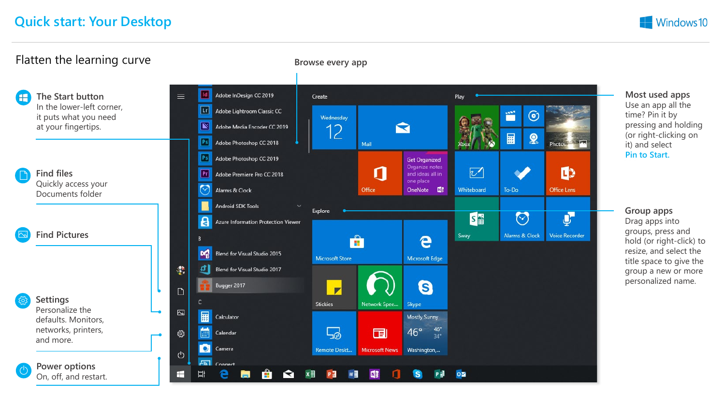

**Windows10**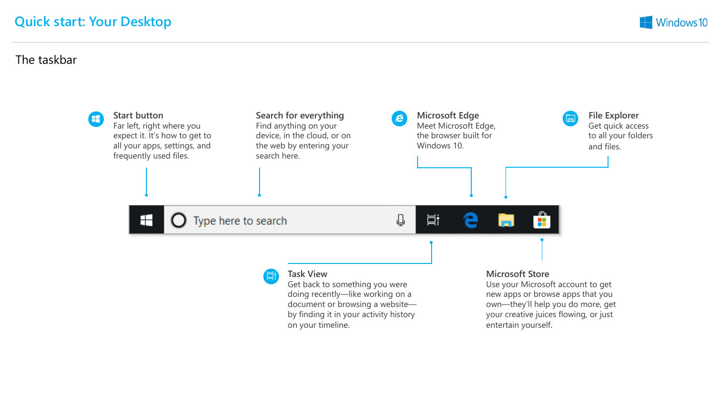#### The taskbar

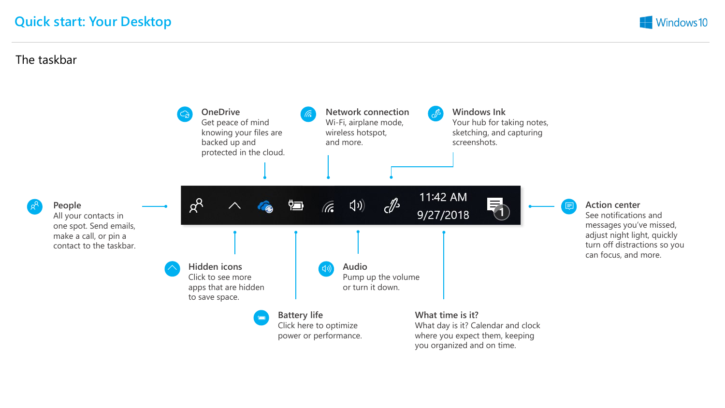### The taskbar

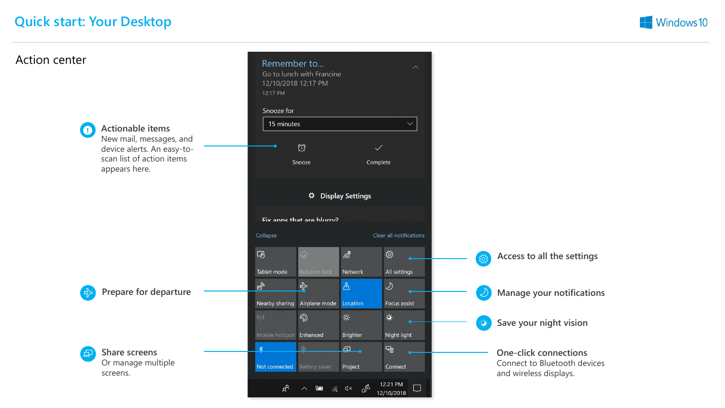

## Action center

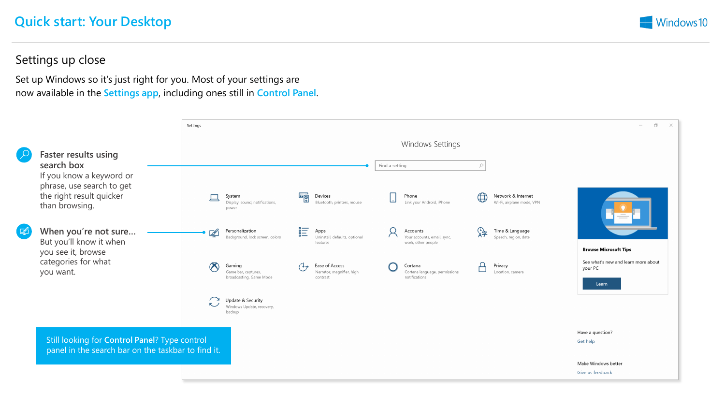

#### Settings up close

Set up Windows so it's just right for you. Most of your settings are now available in the **Settings app**, including ones still in **Control Panel**.

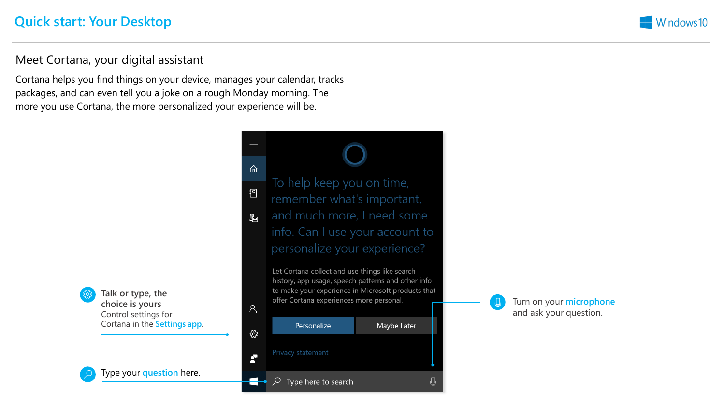

#### Meet Cortana, your digital assistant

Cortana helps you find things on your device, manages your calendar, tracks packages, and can even tell you a joke on a rough Monday morning. The more you use Cortana, the more personalized your experience will be.



**Talk or type, the choice is yours** Control settings for Cortana in the **Settings app.**

Type your **question** here.

 $\equiv$ 仚 To help keep you on time, **[2]** remember what's important, and much more, I need some 膈 info. Can I use your account to personalize your experience?

Let Cortana collect and use things like search history, app usage, speech patterns and other info to make your experience in Microsoft products that<br>offer Cortana experiences more personal.<br>R<sub>+</sub> and ask your quottion



and ask your question.

⊕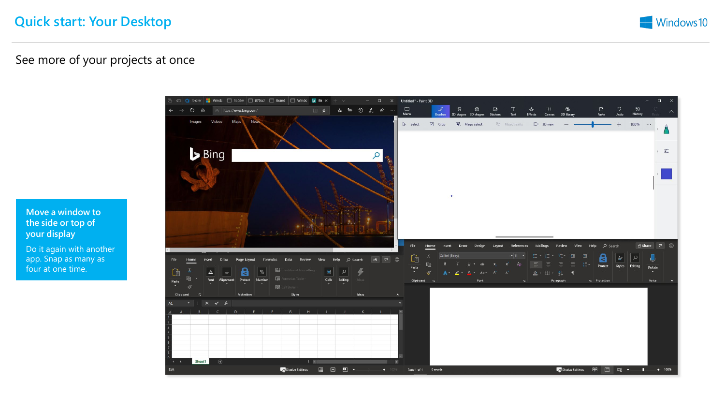

### See more of your projects at once

**Move a window to the side or top of your display**

Do it again with another app. Snap as many as four at one time.